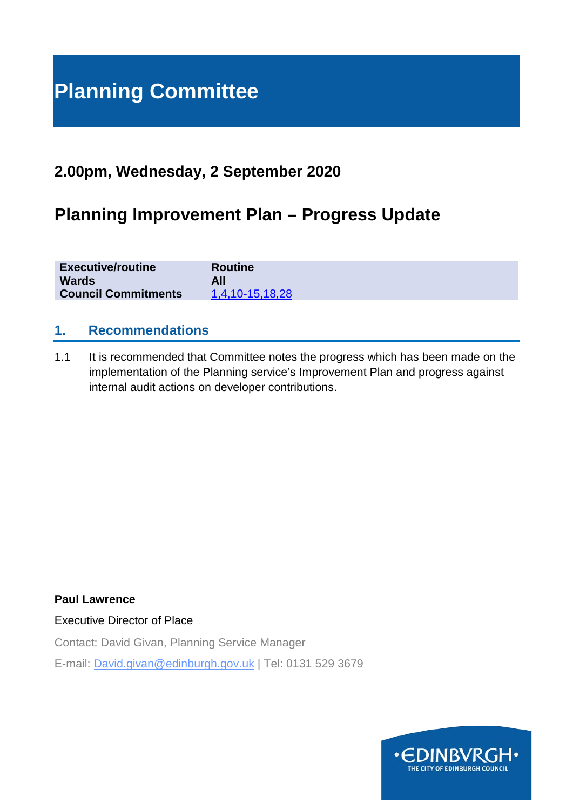# **Planning Committee**

# **2.00pm, Wednesday, 2 September 2020**

# **Planning Improvement Plan – Progress Update**

| <b>Executive/routine</b>   | <b>Routine</b>  |
|----------------------------|-----------------|
| <b>Wards</b>               | All             |
| <b>Council Commitments</b> | 1,4,10-15,18,28 |

# **1. Recommendations**

1.1 It is recommended that Committee notes the progress which has been made on the implementation of the Planning service's Improvement Plan and progress against internal audit actions on developer contributions.

**Paul Lawrence**

Executive Director of Place

Contact: David Givan, Planning Service Manager

E-mail: David.givan@edinburgh.gov.uk | Tel: 0131 529 3679

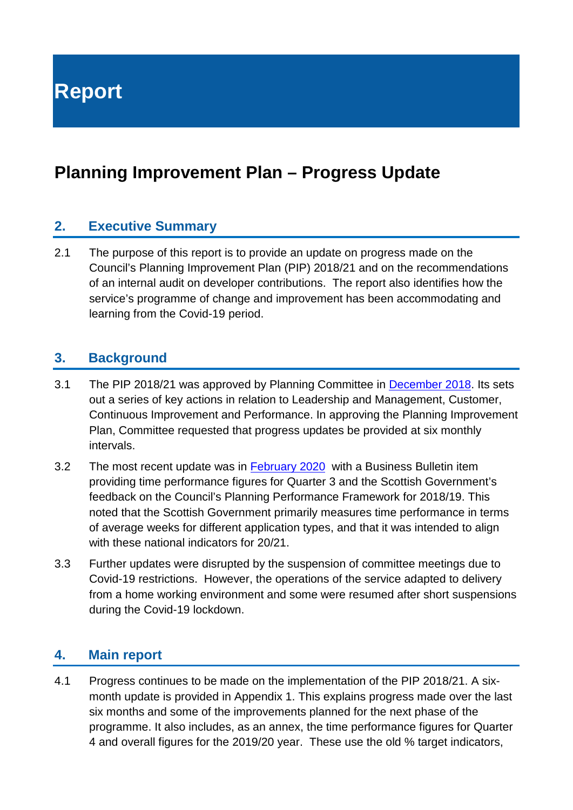**Report**

# **Planning Improvement Plan – Progress Update**

# **2. Executive Summary**

2.1 The purpose of this report is to provide an update on progress made on the Council's Planning Improvement Plan (PIP) 2018/21 and on the recommendations of an internal audit on developer contributions. The report also identifies how the service's programme of change and improvement has been accommodating and learning from the Covid-19 period.

# **3. Background**

- 3.1 The PIP 2018/21 was approved by Planning Committee in [December 2018.](http://www.edinburgh.gov.uk/download/meetings/id/59498/item_81_-_planning_and_building_standards_improvement_plan) Its sets out a series of key actions in relation to Leadership and Management, Customer, Continuous Improvement and Performance. In approving the Planning Improvement Plan, Committee requested that progress updates be provided at six monthly intervals.
- 3.2 The most recent update was in [February 2020](https://democracy.edinburgh.gov.uk/documents/s14464/5.1%20Business%20Bulletin.pdf) with a Business Bulletin item providing time performance figures for Quarter 3 and the Scottish Government's feedback on the Council's Planning Performance Framework for 2018/19. This noted that the Scottish Government primarily measures time performance in terms of average weeks for different application types, and that it was intended to align with these national indicators for 20/21.
- 3.3 Further updates were disrupted by the suspension of committee meetings due to Covid-19 restrictions. However, the operations of the service adapted to delivery from a home working environment and some were resumed after short suspensions during the Covid-19 lockdown.

#### **4. Main report**

4.1 Progress continues to be made on the implementation of the PIP 2018/21. A sixmonth update is provided in Appendix 1. This explains progress made over the last six months and some of the improvements planned for the next phase of the programme. It also includes, as an annex, the time performance figures for Quarter 4 and overall figures for the 2019/20 year. These use the old % target indicators,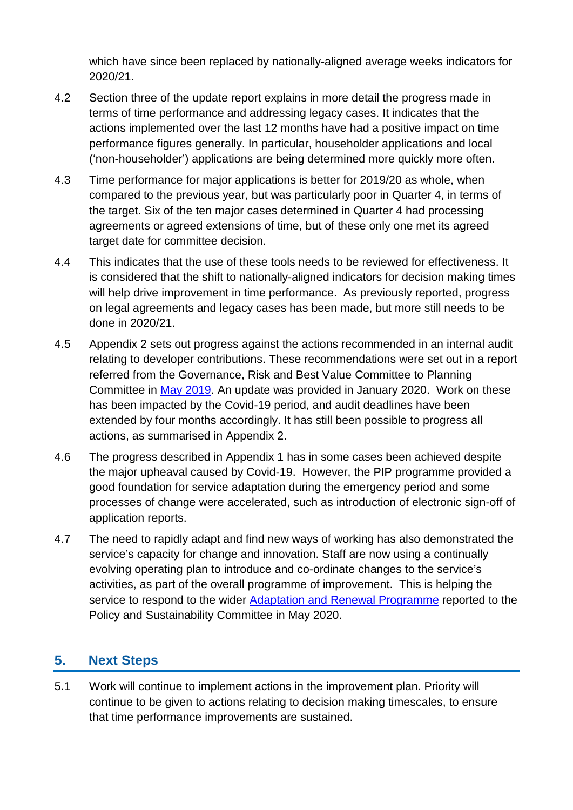which have since been replaced by nationally-aligned average weeks indicators for 2020/21.

- 4.2 Section three of the update report explains in more detail the progress made in terms of time performance and addressing legacy cases. It indicates that the actions implemented over the last 12 months have had a positive impact on time performance figures generally. In particular, householder applications and local ('non-householder') applications are being determined more quickly more often.
- 4.3 Time performance for major applications is better for 2019/20 as whole, when compared to the previous year, but was particularly poor in Quarter 4, in terms of the target. Six of the ten major cases determined in Quarter 4 had processing agreements or agreed extensions of time, but of these only one met its agreed target date for committee decision.
- 4.4 This indicates that the use of these tools needs to be reviewed for effectiveness. It is considered that the shift to nationally-aligned indicators for decision making times will help drive improvement in time performance. As previously reported, progress on legal agreements and legacy cases has been made, but more still needs to be done in 2020/21.
- 4.5 Appendix 2 sets out progress against the actions recommended in an internal audit relating to developer contributions. These recommendations were set out in a report referred from the Governance, Risk and Best Value Committee to Planning Committee in [May 2019.](https://democracy.edinburgh.gov.uk/Data/Planning%20Committee/20190515/Agenda/$item_91_-_internal_audit_quarterly_update_report_26_november_2018_to_29_march_2019_-_referral_from_the_governance_risk_and_be.xls.pdf) An update was provided in January 2020. Work on these has been impacted by the Covid-19 period, and audit deadlines have been extended by four months accordingly. It has still been possible to progress all actions, as summarised in Appendix 2.
- 4.6 The progress described in Appendix 1 has in some cases been achieved despite the major upheaval caused by Covid-19. However, the PIP programme provided a good foundation for service adaptation during the emergency period and some processes of change were accelerated, such as introduction of electronic sign-off of application reports.
- 4.7 The need to rapidly adapt and find new ways of working has also demonstrated the service's capacity for change and innovation. Staff are now using a continually evolving operating plan to introduce and co-ordinate changes to the service's activities, as part of the overall programme of improvement. This is helping the service to respond to the wider [Adaptation and Renewal Programme](https://democracy.edinburgh.gov.uk/documents/s24153/6.1%20-%20Adaptation%20and%20Renewal%20Programme%20V2.pdf) reported to the Policy and Sustainability Committee in May 2020.

# **5. Next Steps**

5.1 Work will continue to implement actions in the improvement plan. Priority will continue to be given to actions relating to decision making timescales, to ensure that time performance improvements are sustained.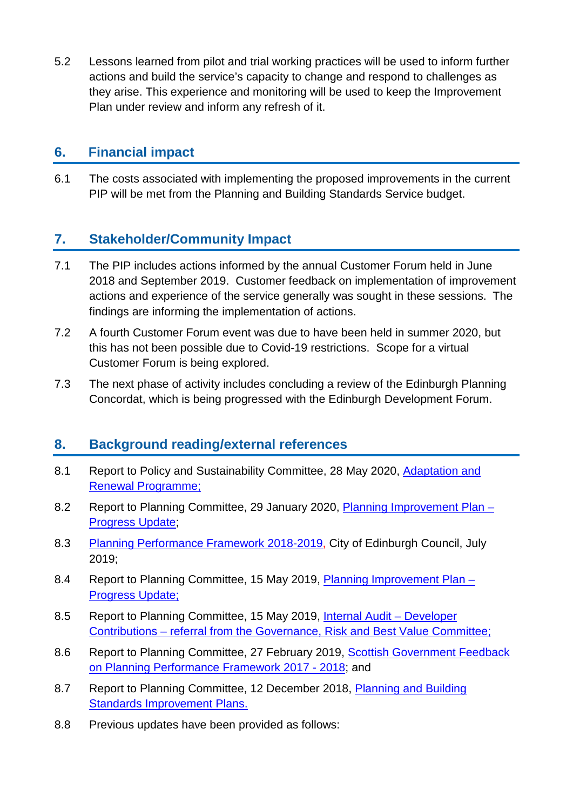5.2 Lessons learned from pilot and trial working practices will be used to inform further actions and build the service's capacity to change and respond to challenges as they arise. This experience and monitoring will be used to keep the Improvement Plan under review and inform any refresh of it.

# **6. Financial impact**

6.1 The costs associated with implementing the proposed improvements in the current PIP will be met from the Planning and Building Standards Service budget.

# **7. Stakeholder/Community Impact**

- 7.1 The PIP includes actions informed by the annual Customer Forum held in June 2018 and September 2019. Customer feedback on implementation of improvement actions and experience of the service generally was sought in these sessions. The findings are informing the implementation of actions.
- 7.2 A fourth Customer Forum event was due to have been held in summer 2020, but this has not been possible due to Covid-19 restrictions. Scope for a virtual Customer Forum is being explored.
- 7.3 The next phase of activity includes concluding a review of the Edinburgh Planning Concordat, which is being progressed with the Edinburgh Development Forum.

# **8. Background reading/external references**

- 8.1 Report to Policy and Sustainability Committee, 28 May 2020, [Adaptation and](https://democracy.edinburgh.gov.uk/documents/s24153/6.1%20-%20Adaptation%20and%20Renewal%20Programme%20V2.pdf)  [Renewal Programme;](https://democracy.edinburgh.gov.uk/documents/s24153/6.1%20-%20Adaptation%20and%20Renewal%20Programme%20V2.pdf)
- 8.2 Report to Planning Committee, 29 January 2020, [Planning Improvement Plan –](https://democracy.edinburgh.gov.uk/documents/s13104/Item%209.1%20-%20Planning%20Improvement%20Plan%20Progress%20Report.pdf) [Progress Update;](https://democracy.edinburgh.gov.uk/documents/s13104/Item%209.1%20-%20Planning%20Improvement%20Plan%20Progress%20Report.pdf)
- 8.3 [Planning Performance Framework 2018-2019,](http://www.edinburgh.gov.uk/info/20212/property_planning_and_housing/444/planning_performance) City of Edinburgh Council, July 2019;
- 8.4 Report to Planning Committee, 15 May 2019, [Planning Improvement Plan –](https://democracy.edinburgh.gov.uk/Data/Planning%20Committee/20190515/Agenda/item_81_-_planning_improvement_plan_-_progress_update.pdf) [Progress Update;](https://democracy.edinburgh.gov.uk/Data/Planning%20Committee/20190515/Agenda/item_81_-_planning_improvement_plan_-_progress_update.pdf)
- 8.5 Report to Planning Committee, 15 May 2019, [Internal Audit –](https://democracy.edinburgh.gov.uk/Data/Planning%20Committee/20190515/Agenda/$item_91_-_internal_audit_quarterly_update_report_26_november_2018_to_29_march_2019_-_referral_from_the_governance_risk_and_be.xls.pdf) Developer Contributions – [referral from the Governance, Risk and Best Value Committee;](https://democracy.edinburgh.gov.uk/Data/Planning%20Committee/20190515/Agenda/$item_91_-_internal_audit_quarterly_update_report_26_november_2018_to_29_march_2019_-_referral_from_the_governance_risk_and_be.xls.pdf)
- 8.6 Report to Planning Committee, 27 February 2019, Scottish Government Feedback [on Planning Performance Framework 2017 -](http://www.edinburgh.gov.uk/meetings/meeting/4651/planning_committee) 2018; and
- 8.7 Report to Planning Committee, 12 December 2018, Planning and Building [Standards Improvement Plans.](http://www.edinburgh.gov.uk/meetings/meeting/4606/planning_committee)
- 8.8 Previous updates have been provided as follows: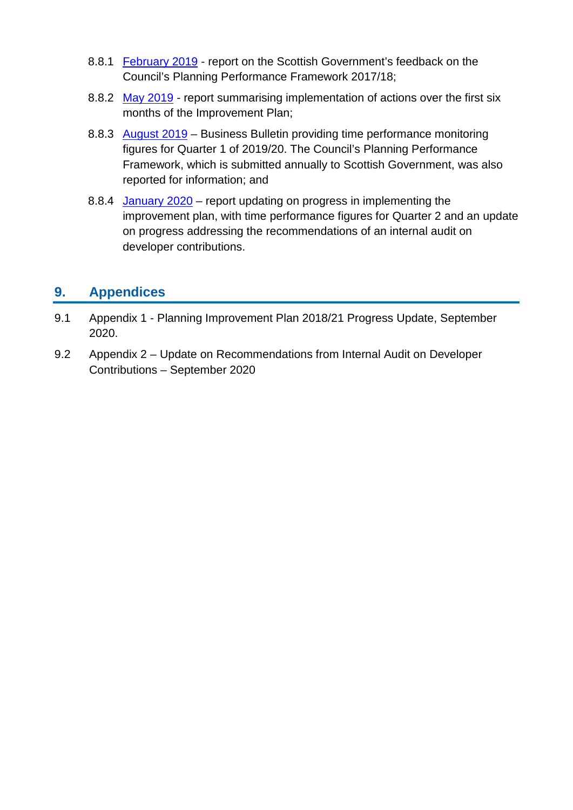- 8.8.1 [February 2019](http://www.edinburgh.gov.uk/download/meetings/id/60055/item_81_-_scottish_government_feedback_on_planning_performance_framework_201718) report on the Scottish Government's feedback on the Council's Planning Performance Framework 2017/18;
- 8.8.2 [May 2019](https://democracy.edinburgh.gov.uk/Data/Planning%20Committee/20190515/Agenda/item_81_-_planning_improvement_plan_-_progress_update.pdf) report summarising implementation of actions over the first six months of the Improvement Plan;
- 8.8.3 [August 2019](https://democracy.edinburgh.gov.uk/documents/s4144/5.1%20-%20Planning%20Committee%20Business%20Bulletin.pdf) Business Bulletin providing time performance monitoring figures for Quarter 1 of 2019/20. The Council's Planning Performance Framework, which is submitted annually to Scottish Government, was also reported for information; and
- 8.8.4 [January 2020](https://democracy.edinburgh.gov.uk/documents/s13104/Item%209.1%20-%20Planning%20Improvement%20Plan%20Progress%20Report.pdf) report updating on progress in implementing the improvement plan, with time performance figures for Quarter 2 and an update on progress addressing the recommendations of an internal audit on developer contributions.

# **9. Appendices**

- 9.1 Appendix 1 Planning Improvement Plan 2018/21 Progress Update, September 2020.
- 9.2 Appendix 2 Update on Recommendations from Internal Audit on Developer Contributions – September 2020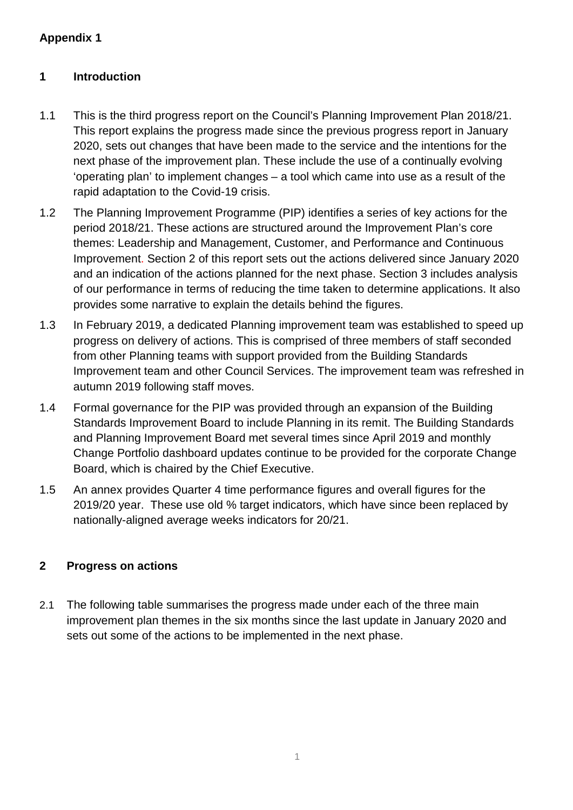# **Appendix 1**

# **1 Introduction**

- 1.1 This is the third progress report on the Council's Planning Improvement Plan 2018/21. This report explains the progress made since the previous progress report in January 2020, sets out changes that have been made to the service and the intentions for the next phase of the improvement plan. These include the use of a continually evolving 'operating plan' to implement changes – a tool which came into use as a result of the rapid adaptation to the Covid-19 crisis.
- 1.2 The Planning Improvement Programme (PIP) identifies a series of key actions for the period 2018/21. These actions are structured around the Improvement Plan's core themes: Leadership and Management, Customer, and Performance and Continuous Improvement. Section 2 of this report sets out the actions delivered since January 2020 and an indication of the actions planned for the next phase. Section 3 includes analysis of our performance in terms of reducing the time taken to determine applications. It also provides some narrative to explain the details behind the figures.
- 1.3 In February 2019, a dedicated Planning improvement team was established to speed up progress on delivery of actions. This is comprised of three members of staff seconded from other Planning teams with support provided from the Building Standards Improvement team and other Council Services. The improvement team was refreshed in autumn 2019 following staff moves.
- 1.4 Formal governance for the PIP was provided through an expansion of the Building Standards Improvement Board to include Planning in its remit. The Building Standards and Planning Improvement Board met several times since April 2019 and monthly Change Portfolio dashboard updates continue to be provided for the corporate Change Board, which is chaired by the Chief Executive.
- 1.5 An annex provides Quarter 4 time performance figures and overall figures for the 2019/20 year. These use old % target indicators, which have since been replaced by nationally-aligned average weeks indicators for 20/21.

# **2 Progress on actions**

2.1 The following table summarises the progress made under each of the three main improvement plan themes in the six months since the last update in January 2020 and sets out some of the actions to be implemented in the next phase.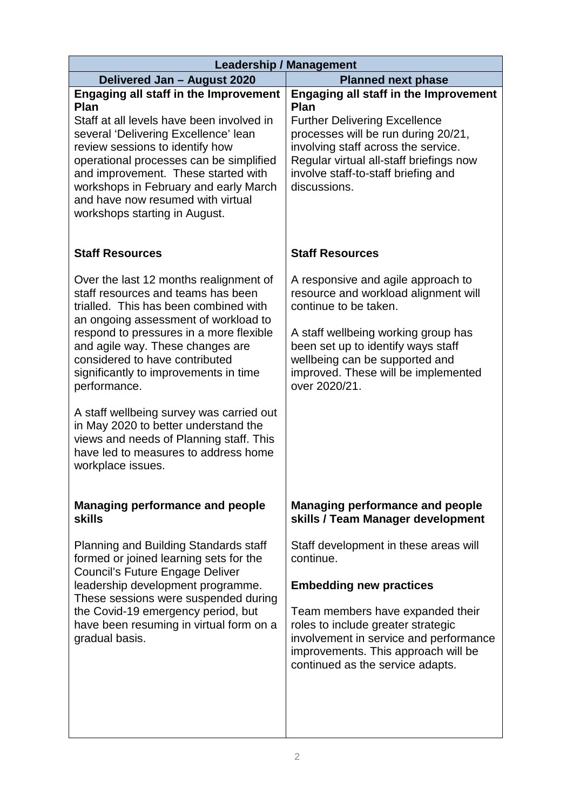| <b>Leadership / Management</b>                                                                                                                                                                                                                                                      |  |  |  |  |  |
|-------------------------------------------------------------------------------------------------------------------------------------------------------------------------------------------------------------------------------------------------------------------------------------|--|--|--|--|--|
| <b>Planned next phase</b>                                                                                                                                                                                                                                                           |  |  |  |  |  |
| <b>Engaging all staff in the Improvement</b><br>Plan<br><b>Further Delivering Excellence</b><br>processes will be run during 20/21,<br>involving staff across the service.<br>Regular virtual all-staff briefings now<br>involve staff-to-staff briefing and<br>discussions.        |  |  |  |  |  |
| <b>Staff Resources</b>                                                                                                                                                                                                                                                              |  |  |  |  |  |
| A responsive and agile approach to<br>resource and workload alignment will<br>continue to be taken.<br>A staff wellbeing working group has<br>been set up to identify ways staff<br>wellbeing can be supported and<br>improved. These will be implemented<br>over 2020/21.          |  |  |  |  |  |
| <b>Managing performance and people</b><br>skills / Team Manager development                                                                                                                                                                                                         |  |  |  |  |  |
| Staff development in these areas will<br>continue.<br><b>Embedding new practices</b><br>Team members have expanded their<br>roles to include greater strategic<br>involvement in service and performance<br>improvements. This approach will be<br>continued as the service adapts. |  |  |  |  |  |
|                                                                                                                                                                                                                                                                                     |  |  |  |  |  |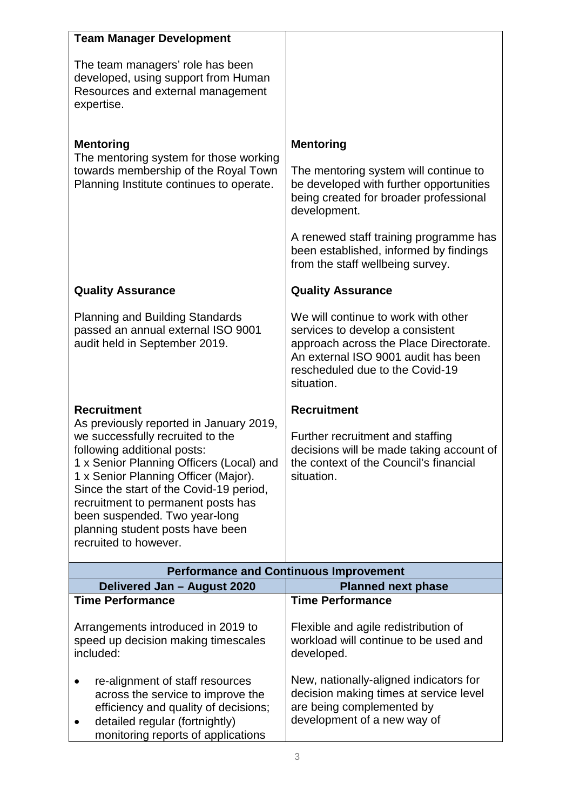| <b>Team Manager Development</b>                                                                                                                                                                                                                                                                                                                                               |                                                                                                                                                                                                           |
|-------------------------------------------------------------------------------------------------------------------------------------------------------------------------------------------------------------------------------------------------------------------------------------------------------------------------------------------------------------------------------|-----------------------------------------------------------------------------------------------------------------------------------------------------------------------------------------------------------|
| The team managers' role has been<br>developed, using support from Human<br>Resources and external management<br>expertise.                                                                                                                                                                                                                                                    |                                                                                                                                                                                                           |
| <b>Mentoring</b><br>The mentoring system for those working<br>towards membership of the Royal Town<br>Planning Institute continues to operate.                                                                                                                                                                                                                                | <b>Mentoring</b><br>The mentoring system will continue to<br>be developed with further opportunities<br>being created for broader professional<br>development.                                            |
|                                                                                                                                                                                                                                                                                                                                                                               | A renewed staff training programme has<br>been established, informed by findings<br>from the staff wellbeing survey.                                                                                      |
| <b>Quality Assurance</b>                                                                                                                                                                                                                                                                                                                                                      | <b>Quality Assurance</b>                                                                                                                                                                                  |
| <b>Planning and Building Standards</b><br>passed an annual external ISO 9001<br>audit held in September 2019.                                                                                                                                                                                                                                                                 | We will continue to work with other<br>services to develop a consistent<br>approach across the Place Directorate.<br>An external ISO 9001 audit has been<br>rescheduled due to the Covid-19<br>situation. |
| <b>Recruitment</b>                                                                                                                                                                                                                                                                                                                                                            | <b>Recruitment</b>                                                                                                                                                                                        |
| As previously reported in January 2019,<br>we successfully recruited to the<br>following additional posts:<br>1 x Senior Planning Officers (Local) and<br>1 x Senior Planning Officer (Major).<br>Since the start of the Covid-19 period,<br>recruitment to permanent posts has<br>been suspended. Two year-long<br>planning student posts have been<br>recruited to however. | Further recruitment and staffing<br>decisions will be made taking account of<br>the context of the Council's financial<br>situation.                                                                      |
|                                                                                                                                                                                                                                                                                                                                                                               | <b>Performance and Continuous Improvement</b>                                                                                                                                                             |
| Delivered Jan - August 2020<br><b>Time Performance</b>                                                                                                                                                                                                                                                                                                                        | <b>Planned next phase</b><br><b>Time Performance</b>                                                                                                                                                      |
| Arrangements introduced in 2019 to<br>speed up decision making timescales<br>included:                                                                                                                                                                                                                                                                                        | Flexible and agile redistribution of<br>workload will continue to be used and<br>developed.                                                                                                               |
| re-alignment of staff resources<br>across the service to improve the<br>efficiency and quality of decisions;<br>detailed regular (fortnightly)<br>٠<br>monitoring reports of applications                                                                                                                                                                                     | New, nationally-aligned indicators for<br>decision making times at service level<br>are being complemented by<br>development of a new way of                                                              |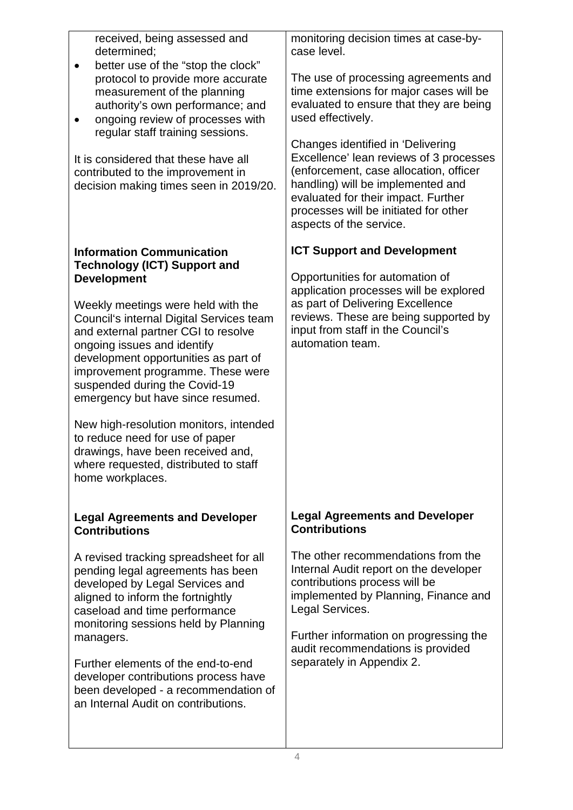received, being assessed and determined;

- better use of the "stop the clock" protocol to provide more accurate measurement of the planning authority's own performance; and
- ongoing review of processes with regular staff training sessions.

It is considered that these have all contributed to the improvement in decision making times seen in 2019/20.

#### **Information Communication Technology (ICT) Support and Development**

Weekly meetings were held with the Council's internal Digital Services team and external partner CGI to resolve ongoing issues and identify development opportunities as part of improvement programme. These were suspended during the Covid-19 emergency but have since resumed.

New high-resolution monitors, intended to reduce need for use of paper drawings, have been received and, where requested, distributed to staff home workplaces.

#### **Legal Agreements and Developer Contributions**

A revised tracking spreadsheet for all pending legal agreements has been developed by Legal Services and aligned to inform the fortnightly caseload and time performance monitoring sessions held by Planning managers.

Further elements of the end-to-end developer contributions process have been developed - a recommendation of an Internal Audit on contributions.

monitoring decision times at case-bycase level.

The use of processing agreements and time extensions for major cases will be evaluated to ensure that they are being used effectively.

Changes identified in 'Delivering Excellence' lean reviews of 3 processes (enforcement, case allocation, officer handling) will be implemented and evaluated for their impact. Further processes will be initiated for other aspects of the service.

# **ICT Support and Development**

Opportunities for automation of application processes will be explored as part of Delivering Excellence reviews. These are being supported by input from staff in the Council's automation team.

#### **Legal Agreements and Developer Contributions**

The other recommendations from the Internal Audit report on the developer contributions process will be implemented by Planning, Finance and Legal Services.

Further information on progressing the audit recommendations is provided separately in Appendix 2.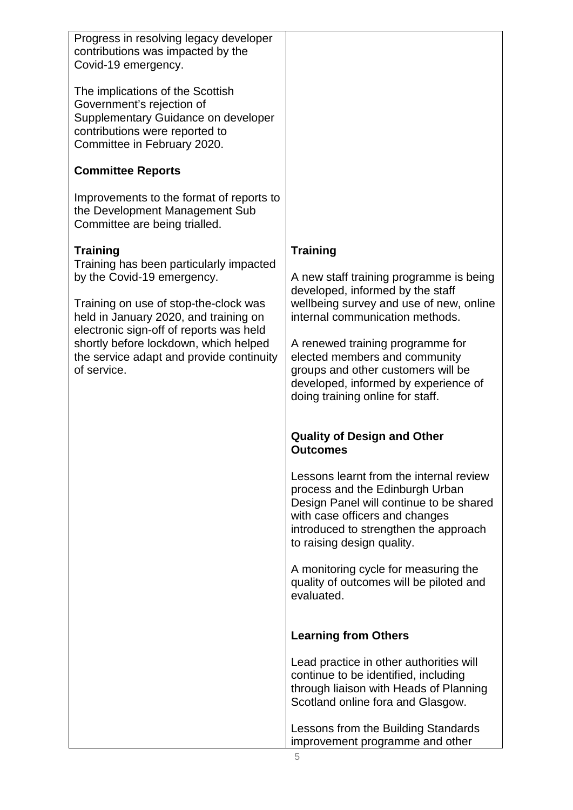Progress in resolving legacy developer contributions was impacted by the Covid-19 emergency.

The implications of the Scottish Government's rejection of Supplementary Guidance on developer contributions were reported to Committee in February 2020.

# **Committee Reports**

Improvements to the format of reports to the Development Management Sub Committee are being trialled.

# **Training**

Training has been particularly impacted by the Covid-19 emergency.

Training on use of stop-the-clock was held in January 2020, and training on electronic sign-off of reports was held shortly before lockdown, which helped the service adapt and provide continuity of service.

# **Training**

A new staff training programme is being developed, informed by the staff wellbeing survey and use of new, online internal communication methods.

A renewed training programme for elected members and community groups and other customers will be developed, informed by experience of doing training online for staff.

#### **Quality of Design and Other Outcomes**

Lessons learnt from the internal review process and the Edinburgh Urban Design Panel will continue to be shared with case officers and changes introduced to strengthen the approach to raising design quality.

A monitoring cycle for measuring the quality of outcomes will be piloted and evaluated.

# **Learning from Others**

Lead practice in other authorities will continue to be identified, including through liaison with Heads of Planning Scotland online fora and Glasgow.

Lessons from the Building Standards improvement programme and other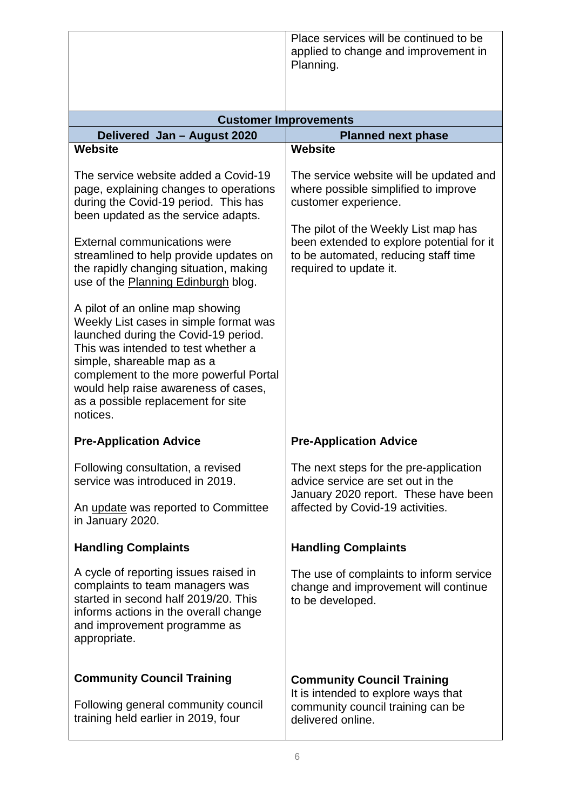Place services will be continued to be applied to change and improvement in Planning.

| <b>Customer Improvements</b>                                                                                                                                                                                                                                                                                                    |                                                                                                                                                                                                                                                                |  |  |  |  |  |
|---------------------------------------------------------------------------------------------------------------------------------------------------------------------------------------------------------------------------------------------------------------------------------------------------------------------------------|----------------------------------------------------------------------------------------------------------------------------------------------------------------------------------------------------------------------------------------------------------------|--|--|--|--|--|
| Delivered Jan - August 2020                                                                                                                                                                                                                                                                                                     | <b>Planned next phase</b>                                                                                                                                                                                                                                      |  |  |  |  |  |
| <b>Website</b>                                                                                                                                                                                                                                                                                                                  | <b>Website</b>                                                                                                                                                                                                                                                 |  |  |  |  |  |
| The service website added a Covid-19<br>page, explaining changes to operations<br>during the Covid-19 period. This has<br>been updated as the service adapts.<br><b>External communications were</b><br>streamlined to help provide updates on<br>the rapidly changing situation, making<br>use of the Planning Edinburgh blog. | The service website will be updated and<br>where possible simplified to improve<br>customer experience.<br>The pilot of the Weekly List map has<br>been extended to explore potential for it<br>to be automated, reducing staff time<br>required to update it. |  |  |  |  |  |
| A pilot of an online map showing<br>Weekly List cases in simple format was<br>launched during the Covid-19 period.<br>This was intended to test whether a<br>simple, shareable map as a<br>complement to the more powerful Portal<br>would help raise awareness of cases,<br>as a possible replacement for site<br>notices.     |                                                                                                                                                                                                                                                                |  |  |  |  |  |
| <b>Pre-Application Advice</b>                                                                                                                                                                                                                                                                                                   | <b>Pre-Application Advice</b>                                                                                                                                                                                                                                  |  |  |  |  |  |
| Following consultation, a revised<br>service was introduced in 2019.                                                                                                                                                                                                                                                            | The next steps for the pre-application<br>advice service are set out in the<br>January 2020 report. These have been                                                                                                                                            |  |  |  |  |  |
| An update was reported to Committee<br>in January 2020.                                                                                                                                                                                                                                                                         | affected by Covid-19 activities.                                                                                                                                                                                                                               |  |  |  |  |  |
| <b>Handling Complaints</b>                                                                                                                                                                                                                                                                                                      | <b>Handling Complaints</b>                                                                                                                                                                                                                                     |  |  |  |  |  |
| A cycle of reporting issues raised in<br>complaints to team managers was<br>started in second half 2019/20. This<br>informs actions in the overall change<br>and improvement programme as<br>appropriate.                                                                                                                       | The use of complaints to inform service<br>change and improvement will continue<br>to be developed.                                                                                                                                                            |  |  |  |  |  |
| <b>Community Council Training</b><br>Following general community council<br>training held earlier in 2019, four                                                                                                                                                                                                                 | <b>Community Council Training</b><br>It is intended to explore ways that<br>community council training can be<br>delivered online.                                                                                                                             |  |  |  |  |  |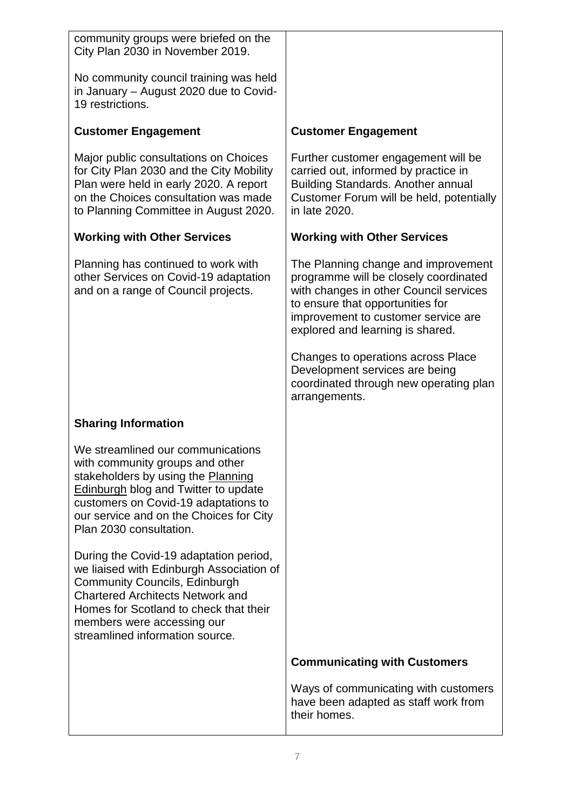| community groups were briefed on the<br>City Plan 2030 in November 2019.                                                                                                                                                                                                         |                                                                                                                                                                                                                                       |
|----------------------------------------------------------------------------------------------------------------------------------------------------------------------------------------------------------------------------------------------------------------------------------|---------------------------------------------------------------------------------------------------------------------------------------------------------------------------------------------------------------------------------------|
| No community council training was held<br>in January - August 2020 due to Covid-<br>19 restrictions.                                                                                                                                                                             |                                                                                                                                                                                                                                       |
| <b>Customer Engagement</b>                                                                                                                                                                                                                                                       | <b>Customer Engagement</b>                                                                                                                                                                                                            |
| Major public consultations on Choices<br>for City Plan 2030 and the City Mobility<br>Plan were held in early 2020. A report<br>on the Choices consultation was made<br>to Planning Committee in August 2020.                                                                     | Further customer engagement will be<br>carried out, informed by practice in<br><b>Building Standards. Another annual</b><br>Customer Forum will be held, potentially<br>in late 2020.                                                 |
| <b>Working with Other Services</b>                                                                                                                                                                                                                                               | <b>Working with Other Services</b>                                                                                                                                                                                                    |
| Planning has continued to work with<br>other Services on Covid-19 adaptation<br>and on a range of Council projects.                                                                                                                                                              | The Planning change and improvement<br>programme will be closely coordinated<br>with changes in other Council services<br>to ensure that opportunities for<br>improvement to customer service are<br>explored and learning is shared. |
|                                                                                                                                                                                                                                                                                  | Changes to operations across Place<br>Development services are being<br>coordinated through new operating plan<br>arrangements.                                                                                                       |
| <b>Sharing Information</b>                                                                                                                                                                                                                                                       |                                                                                                                                                                                                                                       |
| We streamlined our communications<br>with community groups and other<br>stakeholders by using the Planning<br><b>Edinburgh blog and Twitter to update</b><br>customers on Covid-19 adaptations to<br>our service and on the Choices for City<br>Plan 2030 consultation.          |                                                                                                                                                                                                                                       |
| During the Covid-19 adaptation period,<br>we liaised with Edinburgh Association of<br><b>Community Councils, Edinburgh</b><br><b>Chartered Architects Network and</b><br>Homes for Scotland to check that their<br>members were accessing our<br>streamlined information source. |                                                                                                                                                                                                                                       |
|                                                                                                                                                                                                                                                                                  | <b>Communicating with Customers</b>                                                                                                                                                                                                   |
|                                                                                                                                                                                                                                                                                  | Ways of communicating with customers<br>have been adapted as staff work from<br>their homes.                                                                                                                                          |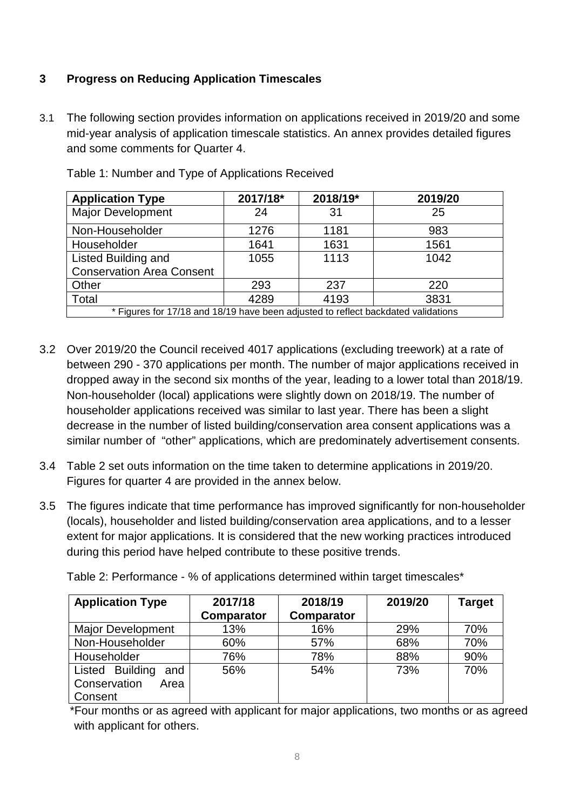# **3 Progress on Reducing Application Timescales**

3.1 The following section provides information on applications received in 2019/20 and some mid-year analysis of application timescale statistics. An annex provides detailed figures and some comments for Quarter 4.

| <b>Application Type</b>                                                           | 2017/18* | 2018/19* | 2019/20 |  |  |  |
|-----------------------------------------------------------------------------------|----------|----------|---------|--|--|--|
| <b>Major Development</b>                                                          | 24       | 31       | 25      |  |  |  |
| Non-Householder                                                                   | 1276     | 1181     | 983     |  |  |  |
| Householder                                                                       | 1641     | 1631     | 1561    |  |  |  |
| <b>Listed Building and</b>                                                        | 1055     | 1113     | 1042    |  |  |  |
| <b>Conservation Area Consent</b>                                                  |          |          |         |  |  |  |
| Other                                                                             | 293      | 237      | 220     |  |  |  |
| Total                                                                             | 4289     | 4193     | 3831    |  |  |  |
| * Figures for 17/18 and 18/19 have been adjusted to reflect backdated validations |          |          |         |  |  |  |

Table 1: Number and Type of Applications Received

- 3.2 Over 2019/20 the Council received 4017 applications (excluding treework) at a rate of between 290 - 370 applications per month. The number of major applications received in dropped away in the second six months of the year, leading to a lower total than 2018/19. Non-householder (local) applications were slightly down on 2018/19. The number of householder applications received was similar to last year. There has been a slight decrease in the number of listed building/conservation area consent applications was a similar number of "other" applications, which are predominately advertisement consents.
- 3.4 Table 2 set outs information on the time taken to determine applications in 2019/20. Figures for quarter 4 are provided in the annex below.
- 3.5 The figures indicate that time performance has improved significantly for non-householder (locals), householder and listed building/conservation area applications, and to a lesser extent for major applications. It is considered that the new working practices introduced during this period have helped contribute to these positive trends.

| <b>Application Type</b>  | 2017/18<br><b>Comparator</b> | 2018/19<br><b>Comparator</b> | 2019/20 | <b>Target</b> |
|--------------------------|------------------------------|------------------------------|---------|---------------|
| <b>Major Development</b> | 13%                          | 16%                          | 29%     | 70%           |
| Non-Householder          | 60%                          | 57%                          | 68%     | 70%           |
| Householder              | 76%                          | 78%                          | 88%     | 90%           |
| Listed Building<br>and   | 56%                          | 54%                          | 73%     | 70%           |
| Conservation<br>Area     |                              |                              |         |               |
| Consent                  |                              |                              |         |               |

Table 2: Performance - % of applications determined within target timescales\*

\*Four months or as agreed with applicant for major applications, two months or as agreed with applicant for others.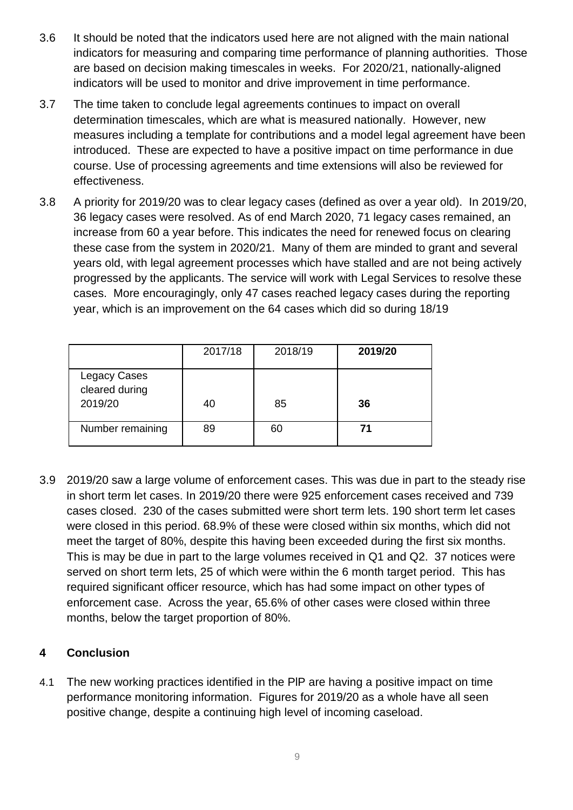- 3.6 It should be noted that the indicators used here are not aligned with the main national indicators for measuring and comparing time performance of planning authorities. Those are based on decision making timescales in weeks. For 2020/21, nationally-aligned indicators will be used to monitor and drive improvement in time performance.
- 3.7 The time taken to conclude legal agreements continues to impact on overall determination timescales, which are what is measured nationally. However, new measures including a template for contributions and a model legal agreement have been introduced. These are expected to have a positive impact on time performance in due course. Use of processing agreements and time extensions will also be reviewed for effectiveness.
- 3.8 A priority for 2019/20 was to clear legacy cases (defined as over a year old). In 2019/20, 36 legacy cases were resolved. As of end March 2020, 71 legacy cases remained, an increase from 60 a year before. This indicates the need for renewed focus on clearing these case from the system in 2020/21. Many of them are minded to grant and several years old, with legal agreement processes which have stalled and are not being actively progressed by the applicants. The service will work with Legal Services to resolve these cases. More encouragingly, only 47 cases reached legacy cases during the reporting year, which is an improvement on the 64 cases which did so during 18/19

|                                           | 2017/18 | 2018/19 | 2019/20 |
|-------------------------------------------|---------|---------|---------|
| Legacy Cases<br>cleared during<br>2019/20 | 40      | 85      | 36      |
| Number remaining                          | 89      | 60      | 71      |

3.9 2019/20 saw a large volume of enforcement cases. This was due in part to the steady rise in short term let cases. In 2019/20 there were 925 enforcement cases received and 739 cases closed. 230 of the cases submitted were short term lets. 190 short term let cases were closed in this period. 68.9% of these were closed within six months, which did not meet the target of 80%, despite this having been exceeded during the first six months. This is may be due in part to the large volumes received in Q1 and Q2. 37 notices were served on short term lets, 25 of which were within the 6 month target period. This has required significant officer resource, which has had some impact on other types of enforcement case. Across the year, 65.6% of other cases were closed within three months, below the target proportion of 80%.

# **4 Conclusion**

4.1 The new working practices identified in the PlP are having a positive impact on time performance monitoring information. Figures for 2019/20 as a whole have all seen positive change, despite a continuing high level of incoming caseload.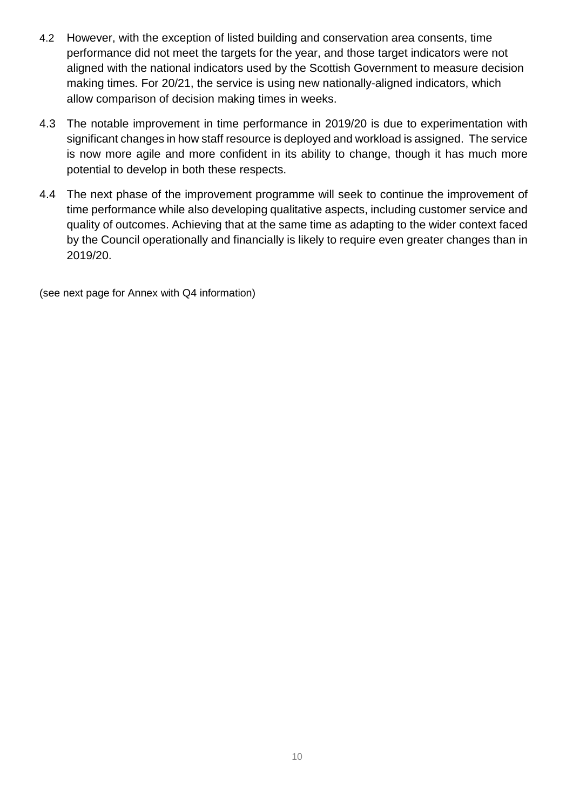- 4.2 However, with the exception of listed building and conservation area consents, time performance did not meet the targets for the year, and those target indicators were not aligned with the national indicators used by the Scottish Government to measure decision making times. For 20/21, the service is using new nationally-aligned indicators, which allow comparison of decision making times in weeks.
- 4.3 The notable improvement in time performance in 2019/20 is due to experimentation with significant changes in how staff resource is deployed and workload is assigned. The service is now more agile and more confident in its ability to change, though it has much more potential to develop in both these respects.
- 4.4 The next phase of the improvement programme will seek to continue the improvement of time performance while also developing qualitative aspects, including customer service and quality of outcomes. Achieving that at the same time as adapting to the wider context faced by the Council operationally and financially is likely to require even greater changes than in 2019/20.

(see next page for Annex with Q4 information)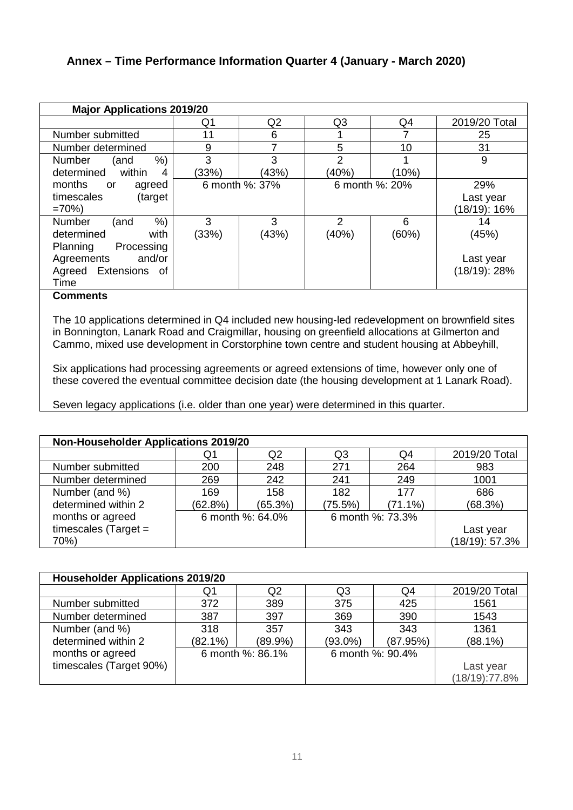#### **Annex – Time Performance Information Quarter 4 (January - March 2020)**

| <b>Major Applications 2019/20</b> |       |                |                |                |                 |  |
|-----------------------------------|-------|----------------|----------------|----------------|-----------------|--|
|                                   | Q1    | Q <sub>2</sub> | Q <sub>3</sub> | Q4             | 2019/20 Total   |  |
| Number submitted                  | 11    | 6              |                |                | 25              |  |
| Number determined                 | 9     |                | 5              | 10             | 31              |  |
| $%$ )<br><b>Number</b><br>(and    | 3     | 3              | 2              |                | 9               |  |
| within<br>determined<br>4         | (33%) | (43%)          | (40%)          | (10%)          |                 |  |
| months<br>agreed<br>or            |       | 6 month %: 37% |                | 6 month %: 20% | 29%             |  |
| timescales<br>(target             |       |                |                |                | Last year       |  |
| $=70%$                            |       |                |                |                | (18/19): 16%    |  |
| $%$ )<br>Number<br>(and           | 3     | 3              | $\overline{2}$ | 6              | 14              |  |
| with<br>determined                | (33%) | (43%)          | (40%)          | (60%)          | (45%)           |  |
| Planning<br>Processing            |       |                |                |                |                 |  |
| and/or<br>Agreements              |       |                |                |                | Last year       |  |
| Extensions<br>Agreed<br>of        |       |                |                |                | $(18/19)$ : 28% |  |
| Time                              |       |                |                |                |                 |  |

#### **Comments**

The 10 applications determined in Q4 included new housing-led redevelopment on brownfield sites in Bonnington, Lanark Road and Craigmillar, housing on greenfield allocations at Gilmerton and Cammo, mixed use development in Corstorphine town centre and student housing at Abbeyhill,

Six applications had processing agreements or agreed extensions of time, however only one of these covered the eventual committee decision date (the housing development at 1 Lanark Road).

Seven legacy applications (i.e. older than one year) were determined in this quarter.

| <b>Non-Householder Applications 2019/20</b> |         |                  |         |                  |                |  |
|---------------------------------------------|---------|------------------|---------|------------------|----------------|--|
|                                             | Q1      | Q2               | Q3      | Q4               | 2019/20 Total  |  |
| Number submitted                            | 200     | 248              | 271     | 264              | 983            |  |
| Number determined                           | 269     | 242              | 241     | 249              | 1001           |  |
| Number (and %)                              | 169     | 158              | 182     | 177              | 686            |  |
| determined within 2                         | (62.8%) | (65.3%)          | (75.5%) | $(71.1\%)$       | (68.3%)        |  |
| months or agreed                            |         | 6 month %: 64.0% |         | 6 month %: 73.3% |                |  |
| timescales (Target $=$                      |         |                  |         |                  | Last year      |  |
| 70%)                                        |         |                  |         |                  | (18/19): 57.3% |  |

| <b>Householder Applications 2019/20</b> |            |                  |                |                  |               |  |
|-----------------------------------------|------------|------------------|----------------|------------------|---------------|--|
|                                         | Q1         | Q2               | Q <sub>3</sub> | Q4               | 2019/20 Total |  |
| Number submitted                        | 372        | 389              | 375            | 425              | 1561          |  |
| Number determined                       | 387        | 397              | 369            | 390              | 1543          |  |
| Number (and %)                          | 318        | 357              | 343            | 343              | 1361          |  |
| determined within 2                     | $(82.1\%)$ | (89.9%)          | $(93.0\%)$     | (87.95%)         | $(88.1\%)$    |  |
| months or agreed                        |            | 6 month %: 86.1% |                | 6 month %: 90.4% |               |  |
| timescales (Target 90%)                 |            |                  |                |                  | Last year     |  |
|                                         |            |                  |                |                  | (18/19):77.8% |  |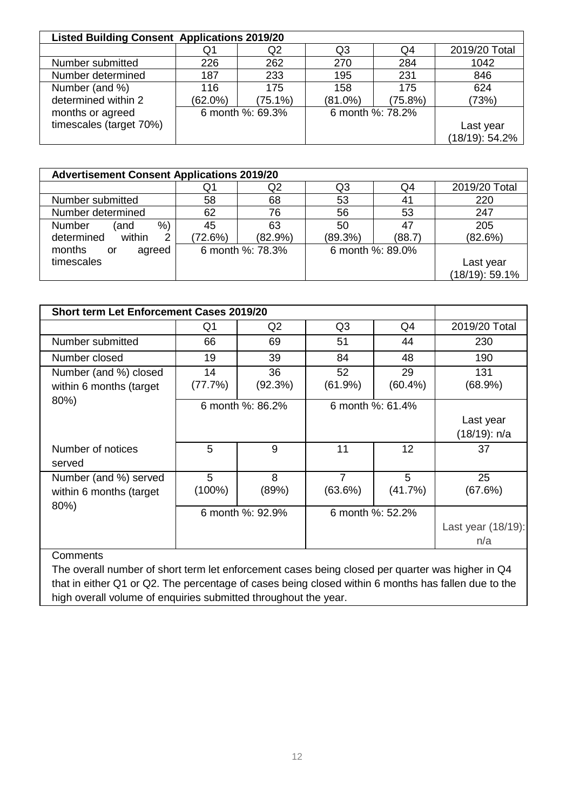| <b>Listed Building Consent Applications 2019/20</b> |            |                  |            |                  |                |
|-----------------------------------------------------|------------|------------------|------------|------------------|----------------|
|                                                     | Q1         | Q2               | Q3         | Q4               | 2019/20 Total  |
| Number submitted                                    | 226        | 262              | 270        | 284              | 1042           |
| Number determined                                   | 187        | 233              | 195        | 231              | 846            |
| Number (and %)                                      | 116        | 175              | 158        | 175              | 624            |
| determined within 2                                 | $(62.0\%)$ | $(75.1\%)$       | $(81.0\%)$ | (75.8%)          | (73%)          |
| months or agreed                                    |            | 6 month %: 69.3% |            | 6 month %: 78.2% |                |
| timescales (target 70%)                             |            |                  |            |                  | Last year      |
|                                                     |            |                  |            |                  | (18/19): 54.2% |

| <b>Advertisement Consent Applications 2019/20</b> |         |                  |                  |        |                |
|---------------------------------------------------|---------|------------------|------------------|--------|----------------|
|                                                   | Q1      | Q2               | Q3               | Q4     | 2019/20 Total  |
| Number submitted                                  | 58      | 68               | 53               | 41     | 220            |
| Number determined                                 | 62      | 76               | 56               | 53     | 247            |
| %<br>Number<br>(and                               | 45      | 63               | 50               | 47     | 205            |
| determined<br>within<br>2                         | (72.6%) | (82.9%)          | (89.3%)          | (88.7) | (82.6%)        |
| months<br>agreed<br>or                            |         | 6 month %: 78.3% | 6 month %: 89.0% |        |                |
| timescales                                        |         |                  |                  |        | Last year      |
|                                                   |         |                  |                  |        | (18/19): 59.1% |

| <b>Short term Let Enforcement Cases 2019/20</b>           |                  |                |                           |                  |                              |
|-----------------------------------------------------------|------------------|----------------|---------------------------|------------------|------------------------------|
|                                                           | Q1               | Q <sub>2</sub> | Q <sub>3</sub>            | Q4               | 2019/20 Total                |
| Number submitted                                          | 66               | 69             | 51                        | 44               | 230                          |
| Number closed                                             | 19               | 39             | 84                        | 48               | 190                          |
| Number (and %) closed<br>within 6 months (target          | 14<br>(77.7%)    | 36<br>(92.3%)  | 52<br>(61.9%)             | 29<br>$(60.4\%)$ | 131<br>(68.9%)               |
| 80%)                                                      | 6 month %: 86.2% |                | 6 month %: 61.4%          |                  |                              |
|                                                           |                  |                |                           |                  | Last year<br>$(18/19)$ : n/a |
| Number of notices<br>served                               | 5                | 9              | 11                        | 12               | 37                           |
| Number (and %) served<br>within 6 months (target)<br>80%) | 5<br>$(100\%)$   | 8<br>(89%)     | $\overline{7}$<br>(63.6%) | 5<br>(41.7%)     | 25<br>(67.6%)                |
|                                                           | 6 month %: 92.9% |                | 6 month %: 52.2%          |                  |                              |
|                                                           |                  |                |                           |                  | Last year (18/19):           |
|                                                           |                  |                |                           |                  | n/a                          |
| Comments                                                  |                  |                |                           |                  |                              |

The overall number of short term let enforcement cases being closed per quarter was higher in Q4 that in either Q1 or Q2. The percentage of cases being closed within 6 months has fallen due to the high overall volume of enquiries submitted throughout the year.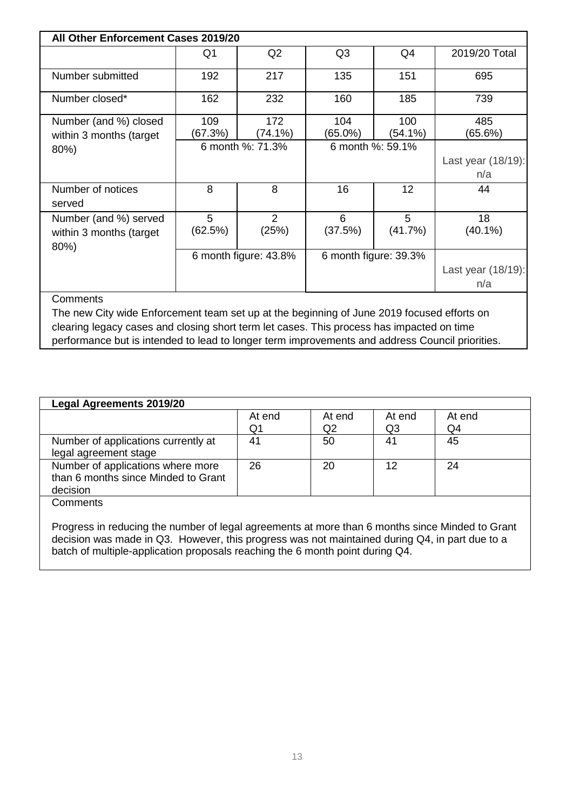| All Other Enforcement Cases 2019/20                                                                                                                                                                                                                                                                           |                       |                   |                       |                   |                           |
|---------------------------------------------------------------------------------------------------------------------------------------------------------------------------------------------------------------------------------------------------------------------------------------------------------------|-----------------------|-------------------|-----------------------|-------------------|---------------------------|
|                                                                                                                                                                                                                                                                                                               | Q <sub>1</sub>        | Q2                | Q <sub>3</sub>        | Q <sub>4</sub>    | 2019/20 Total             |
| Number submitted                                                                                                                                                                                                                                                                                              | 192                   | 217               | 135                   | 151               | 695                       |
| Number closed*                                                                                                                                                                                                                                                                                                | 162                   | 232               | 160                   | 185               | 739                       |
| Number (and %) closed<br>within 3 months (target                                                                                                                                                                                                                                                              | 109<br>(67.3%)        | 172<br>$(74.1\%)$ | 104<br>$(65.0\%)$     | 100<br>$(54.1\%)$ | 485<br>(65.6%)            |
| 80%)                                                                                                                                                                                                                                                                                                          | 6 month %: 71.3%      |                   | 6 month %: 59.1%      |                   | Last year (18/19):<br>n/a |
| Number of notices<br>served                                                                                                                                                                                                                                                                                   | 8                     | 8                 | 16                    | 12                | 44                        |
| Number (and %) served<br>within 3 months (target<br>80%)                                                                                                                                                                                                                                                      | 5<br>(62.5%)          | 2<br>(25%)        | 6<br>(37.5%)          | 5<br>(41.7%)      | 18<br>$(40.1\%)$          |
|                                                                                                                                                                                                                                                                                                               | 6 month figure: 43.8% |                   | 6 month figure: 39.3% |                   | Last year (18/19):<br>n/a |
| <b>Comments</b><br>The new City wide Enforcement team set up at the beginning of June 2019 focused efforts on<br>clearing legacy cases and closing short term let cases. This process has impacted on time<br>performance but is intended to lead to longer term improvements and address Council priorities. |                       |                   |                       |                   |                           |

| <b>Legal Agreements 2019/20</b>     |        |        |                |        |
|-------------------------------------|--------|--------|----------------|--------|
|                                     | At end | At end | At end         | At end |
|                                     | Q1     | Q2     | Q <sub>3</sub> | Q4     |
| Number of applications currently at | 41     | 50     | 41             | 45     |
| legal agreement stage               |        |        |                |        |
| Number of applications where more   | 26     | 20     | 12             | 24     |
| than 6 months since Minded to Grant |        |        |                |        |
| decision                            |        |        |                |        |
| Comments                            |        |        |                |        |

Progress in reducing the number of legal agreements at more than 6 months since Minded to Grant decision was made in Q3. However, this progress was not maintained during Q4, in part due to a batch of multiple-application proposals reaching the 6 month point during Q4.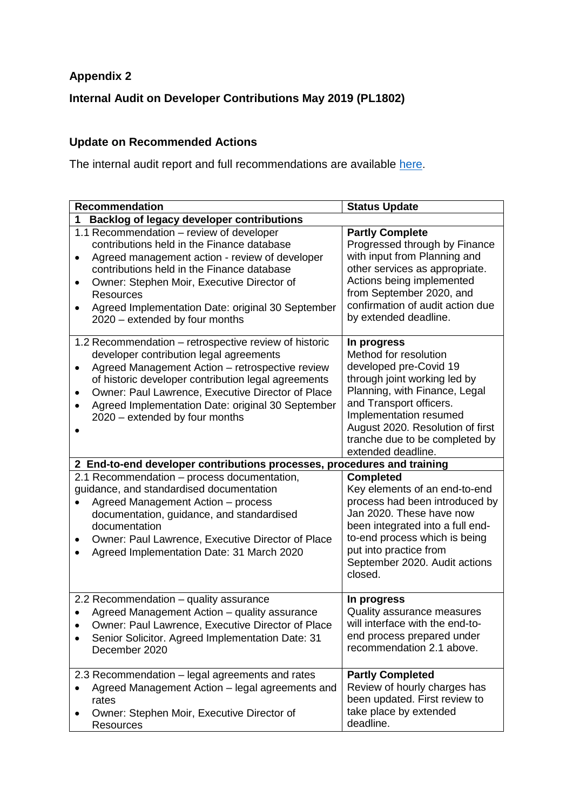# **Appendix 2**

**Internal Audit on Developer Contributions May 2019 (PL1802)**

# **Update on Recommended Actions**

The internal audit report and full recommendations are available [here.](https://democracy.edinburgh.gov.uk/Data/Planning%20Committee/20190515/Agenda/$item_91_-_internal_audit_quarterly_update_report_26_november_2018_to_29_march_2019_-_referral_from_the_governance_risk_and_be.xls.pdf)

| <b>Recommendation</b>                                                                                                                                                                                                                                                                                                                                                     | <b>Status Update</b>                                                                                                                                                                                                                                                             |  |  |  |
|---------------------------------------------------------------------------------------------------------------------------------------------------------------------------------------------------------------------------------------------------------------------------------------------------------------------------------------------------------------------------|----------------------------------------------------------------------------------------------------------------------------------------------------------------------------------------------------------------------------------------------------------------------------------|--|--|--|
| <b>Backlog of legacy developer contributions</b><br>1                                                                                                                                                                                                                                                                                                                     |                                                                                                                                                                                                                                                                                  |  |  |  |
| 1.1 Recommendation - review of developer<br>contributions held in the Finance database<br>Agreed management action - review of developer<br>$\bullet$<br>contributions held in the Finance database<br>Owner: Stephen Moir, Executive Director of<br>$\bullet$<br><b>Resources</b><br>Agreed Implementation Date: original 30 September<br>2020 - extended by four months | <b>Partly Complete</b><br>Progressed through by Finance<br>with input from Planning and<br>other services as appropriate.<br>Actions being implemented<br>from September 2020, and<br>confirmation of audit action due<br>by extended deadline.                                  |  |  |  |
| 1.2 Recommendation - retrospective review of historic<br>developer contribution legal agreements<br>Agreed Management Action - retrospective review<br>$\bullet$<br>of historic developer contribution legal agreements<br>Owner: Paul Lawrence, Executive Director of Place<br>Agreed Implementation Date: original 30 September<br>٠<br>2020 – extended by four months  | In progress<br>Method for resolution<br>developed pre-Covid 19<br>through joint working led by<br>Planning, with Finance, Legal<br>and Transport officers.<br>Implementation resumed<br>August 2020. Resolution of first<br>tranche due to be completed by<br>extended deadline. |  |  |  |
| 2 End-to-end developer contributions processes, procedures and training                                                                                                                                                                                                                                                                                                   |                                                                                                                                                                                                                                                                                  |  |  |  |
| 2.1 Recommendation - process documentation,<br>guidance, and standardised documentation<br>Agreed Management Action - process<br>documentation, guidance, and standardised<br>documentation<br>Owner: Paul Lawrence, Executive Director of Place<br>$\bullet$<br>Agreed Implementation Date: 31 March 2020                                                                | <b>Completed</b><br>Key elements of an end-to-end<br>process had been introduced by<br>Jan 2020. These have now<br>been integrated into a full end-<br>to-end process which is being<br>put into practice from<br>September 2020. Audit actions<br>closed.                       |  |  |  |
| 2.2 Recommendation - quality assurance<br>Agreed Management Action - quality assurance<br>Owner: Paul Lawrence, Executive Director of Place<br>Senior Solicitor. Agreed Implementation Date: 31<br>December 2020                                                                                                                                                          | In progress<br>Quality assurance measures<br>will interface with the end-to-<br>end process prepared under<br>recommendation 2.1 above.                                                                                                                                          |  |  |  |
| 2.3 Recommendation - legal agreements and rates<br>Agreed Management Action - legal agreements and<br>rates<br>Owner: Stephen Moir, Executive Director of<br>Resources                                                                                                                                                                                                    | <b>Partly Completed</b><br>Review of hourly charges has<br>been updated. First review to<br>take place by extended<br>deadline.                                                                                                                                                  |  |  |  |